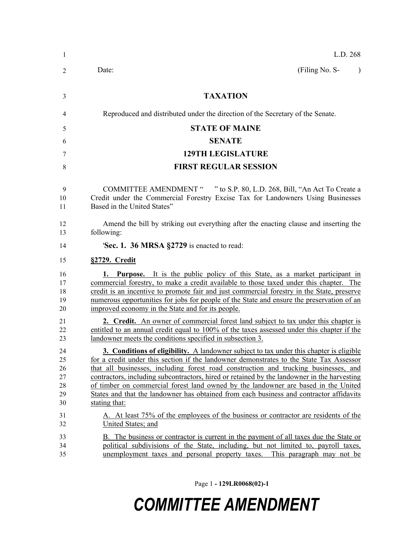| -1                                     | L.D. 268                                                                                                                                                                                                                                                                                                                                                                                                                                                                                                                                                                    |
|----------------------------------------|-----------------------------------------------------------------------------------------------------------------------------------------------------------------------------------------------------------------------------------------------------------------------------------------------------------------------------------------------------------------------------------------------------------------------------------------------------------------------------------------------------------------------------------------------------------------------------|
| 2                                      | (Filing No. S-<br>Date:<br>$\lambda$                                                                                                                                                                                                                                                                                                                                                                                                                                                                                                                                        |
| 3                                      | <b>TAXATION</b>                                                                                                                                                                                                                                                                                                                                                                                                                                                                                                                                                             |
| 4                                      | Reproduced and distributed under the direction of the Secretary of the Senate.                                                                                                                                                                                                                                                                                                                                                                                                                                                                                              |
| 5                                      | <b>STATE OF MAINE</b>                                                                                                                                                                                                                                                                                                                                                                                                                                                                                                                                                       |
| 6                                      | <b>SENATE</b>                                                                                                                                                                                                                                                                                                                                                                                                                                                                                                                                                               |
| 7                                      | <b>129TH LEGISLATURE</b>                                                                                                                                                                                                                                                                                                                                                                                                                                                                                                                                                    |
| 8                                      | <b>FIRST REGULAR SESSION</b>                                                                                                                                                                                                                                                                                                                                                                                                                                                                                                                                                |
| 9<br>10<br>11                          | COMMITTEE AMENDMENT " " to S.P. 80, L.D. 268, Bill, "An Act To Create a<br>Credit under the Commercial Forestry Excise Tax for Landowners Using Businesses<br>Based in the United States"                                                                                                                                                                                                                                                                                                                                                                                   |
| 12<br>13                               | Amend the bill by striking out everything after the enacting clause and inserting the<br>following:                                                                                                                                                                                                                                                                                                                                                                                                                                                                         |
| 14                                     | 'Sec. 1. 36 MRSA §2729 is enacted to read:                                                                                                                                                                                                                                                                                                                                                                                                                                                                                                                                  |
| 15                                     | §2729. Credit                                                                                                                                                                                                                                                                                                                                                                                                                                                                                                                                                               |
| 16<br>17<br>18<br>19<br>20             | 1. Purpose. It is the public policy of this State, as a market participant in<br>commercial forestry, to make a credit available to those taxed under this chapter. The<br>credit is an incentive to promote fair and just commercial forestry in the State, preserve<br>numerous opportunities for jobs for people of the State and ensure the preservation of an<br>improved economy in the State and for its people.                                                                                                                                                     |
| 21<br>22<br>23                         | 2. Credit. An owner of commercial forest land subject to tax under this chapter is<br>entitled to an annual credit equal to 100% of the taxes assessed under this chapter if the<br>landowner meets the conditions specified in subsection 3.                                                                                                                                                                                                                                                                                                                               |
| 24<br>25<br>26<br>27<br>28<br>29<br>30 | 3. Conditions of eligibility. A landowner subject to tax under this chapter is eligible<br>for a credit under this section if the landowner demonstrates to the State Tax Assessor<br>that all businesses, including forest road construction and trucking businesses, and<br>contractors, including subcontractors, hired or retained by the landowner in the harvesting<br>of timber on commercial forest land owned by the landowner are based in the United<br>States and that the landowner has obtained from each business and contractor affidavits<br>stating that: |
| 31<br>32                               | A. At least 75% of the employees of the business or contractor are residents of the<br>United States; and                                                                                                                                                                                                                                                                                                                                                                                                                                                                   |
| 33<br>34<br>35                         | B. The business or contractor is current in the payment of all taxes due the State or<br>political subdivisions of the State, including, but not limited to, payroll taxes,<br>unemployment taxes and personal property taxes.<br>This paragraph may not be                                                                                                                                                                                                                                                                                                                 |

Page 1 **- 129LR0068(02)-1**

## *COMMITTEE AMENDMENT*